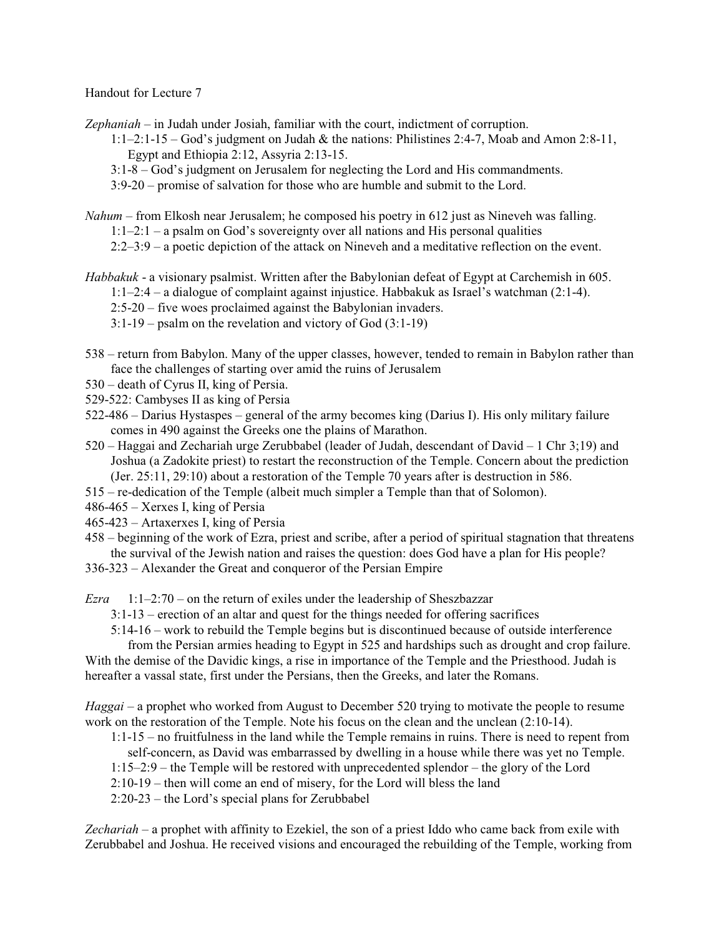## Handout for Lecture 7

*Zephaniah* – in Judah under Josiah, familiar with the court, indictment of corruption.

1:1–2:1-15 – God's judgment on Judah & the nations: Philistines 2:4-7, Moab and Amon 2:8-11, Egypt and Ethiopia 2:12, Assyria 2:13-15.

- 3:1-8 God's judgment on Jerusalem for neglecting the Lord and His commandments.
- 3:9-20 promise of salvation for those who are humble and submit to the Lord.

*Nahum* – from Elkosh near Jerusalem; he composed his poetry in 612 just as Nineveh was falling.

1:1–2:1 – a psalm on God's sovereignty over all nations and His personal qualities

2:2–3:9 – a poetic depiction of the attack on Nineveh and a meditative reflection on the event.

- *Habbakuk*  a visionary psalmist. Written after the Babylonian defeat of Egypt at Carchemish in 605. 1:1–2:4 – a dialogue of complaint against injustice. Habbakuk as Israel's watchman (2:1-4). 2:5-20 – five woes proclaimed against the Babylonian invaders. 3:1-19 – psalm on the revelation and victory of God (3:1-19)
- 538 return from Babylon. Many of the upper classes, however, tended to remain in Babylon rather than face the challenges of starting over amid the ruins of Jerusalem
- 530 death of Cyrus II, king of Persia.
- 529-522: Cambyses II as king of Persia
- 522-486 Darius Hystaspes general of the army becomes king (Darius I). His only military failure comes in 490 against the Greeks one the plains of Marathon.
- 520 Haggai and Zechariah urge Zerubbabel (leader of Judah, descendant of David 1 Chr 3;19) and Joshua (a Zadokite priest) to restart the reconstruction of the Temple. Concern about the prediction (Jer. 25:11, 29:10) about a restoration of the Temple 70 years after is destruction in 586.
- 515 re-dedication of the Temple (albeit much simpler a Temple than that of Solomon).
- 486-465 Xerxes I, king of Persia
- 465-423 Artaxerxes I, king of Persia
- 458 beginning of the work of Ezra, priest and scribe, after a period of spiritual stagnation that threatens the survival of the Jewish nation and raises the question: does God have a plan for His people?
- 336-323 Alexander the Great and conqueror of the Persian Empire

*Ezra* 1:1–2:70 – on the return of exiles under the leadership of Sheszbazzar

3:1-13 – erection of an altar and quest for the things needed for offering sacrifices

5:14-16 – work to rebuild the Temple begins but is discontinued because of outside interference

from the Persian armies heading to Egypt in 525 and hardships such as drought and crop failure. With the demise of the Davidic kings, a rise in importance of the Temple and the Priesthood. Judah is hereafter a vassal state, first under the Persians, then the Greeks, and later the Romans.

*Haggai* – a prophet who worked from August to December 520 trying to motivate the people to resume work on the restoration of the Temple. Note his focus on the clean and the unclean (2:10-14).

- 1:1-15 no fruitfulness in the land while the Temple remains in ruins. There is need to repent from self-concern, as David was embarrassed by dwelling in a house while there was yet no Temple.
- 1:15–2:9 the Temple will be restored with unprecedented splendor the glory of the Lord
- 2:10-19 then will come an end of misery, for the Lord will bless the land
- 2:20-23 the Lord's special plans for Zerubbabel

*Zechariah* – a prophet with affinity to Ezekiel, the son of a priest Iddo who came back from exile with Zerubbabel and Joshua. He received visions and encouraged the rebuilding of the Temple, working from